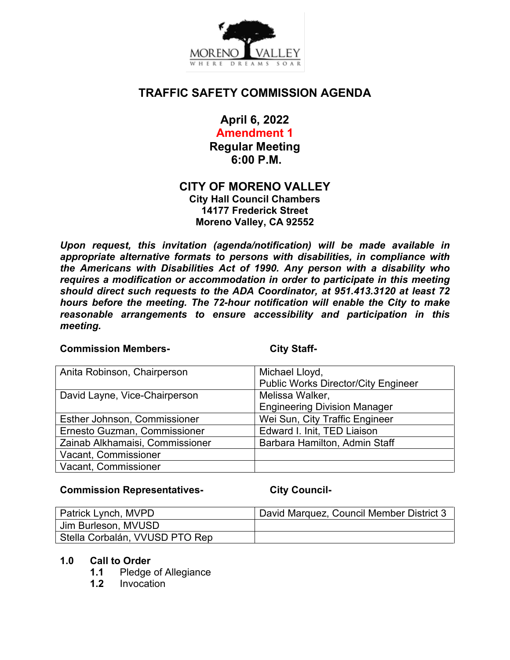

# **TRAFFIC SAFETY COMMISSION AGENDA**

**April 6, 2022**

**Amendment 1 Regular Meeting 6:00 P.M.**

# **CITY OF MORENO VALLEY**

**City Hall Council Chambers 14177 Frederick Street Moreno Valley, CA 92552**

*Upon request, this invitation (agenda/notification) will be made available in appropriate alternative formats to persons with disabilities, in compliance with the Americans with Disabilities Act of 1990. Any person with a disability who requires a modification or accommodation in order to participate in this meeting should direct such requests to the ADA Coordinator, at 951.413.3120 at least 72 hours before the meeting. The 72-hour notification will enable the City to make reasonable arrangements to ensure accessibility and participation in this meeting.*

#### **Commission Members- City Staff-**

| Anita Robinson, Chairperson     | Michael Lloyd,                             |
|---------------------------------|--------------------------------------------|
|                                 | <b>Public Works Director/City Engineer</b> |
| David Layne, Vice-Chairperson   | Melissa Walker,                            |
|                                 | <b>Engineering Division Manager</b>        |
| Esther Johnson, Commissioner    | Wei Sun, City Traffic Engineer             |
| Ernesto Guzman, Commissioner    | Edward I. Init, TED Liaison                |
| Zainab Alkhamaisi, Commissioner | Barbara Hamilton, Admin Staff              |
| Vacant, Commissioner            |                                            |
| Vacant, Commissioner            |                                            |

### **Commission Representatives- City Council-**

| Patrick Lynch, MVPD            | David Marquez, Council Member District 3 |
|--------------------------------|------------------------------------------|
| Jim Burleson, MVUSD            |                                          |
| Stella Corbalán, VVUSD PTO Rep |                                          |

### **1.0 Call to Order**

- **1.1** Pledge of Allegiance
- **1.2** Invocation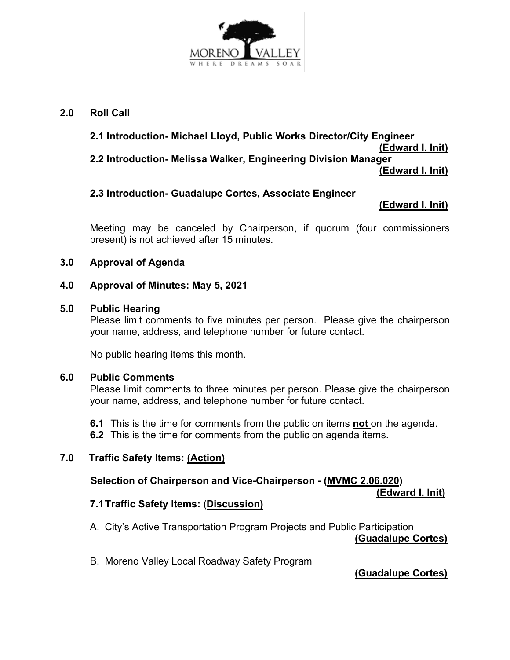

## **2.0 Roll Call**

## **2.1 Introduction- Michael Lloyd, Public Works Director/City Engineer (Edward I. Init) 2.2 Introduction- Melissa Walker, Engineering Division Manager (Edward I. Init)**

## **2.3 Introduction- Guadalupe Cortes, Associate Engineer**

## **(Edward I. Init)**

Meeting may be canceled by Chairperson, if quorum (four commissioners present) is not achieved after 15 minutes.

### **3.0 Approval of Agenda**

### **4.0 Approval of Minutes: May 5, 2021**

#### **5.0 Public Hearing**

Please limit comments to five minutes per person. Please give the chairperson your name, address, and telephone number for future contact.

No public hearing items this month.

#### **6.0 Public Comments**

Please limit comments to three minutes per person. Please give the chairperson your name, address, and telephone number for future contact.

**6.1** This is the time for comments from the public on items **not** on the agenda.

**6.2** This is the time for comments from the public on agenda items.

### **7.0 Traffic Safety Items: (Action)**

## **Selection of Chairperson and Vice-Chairperson - (MVMC 2.06.020)**

 **(Edward I. Init)**

### **7.1Traffic Safety Items:** (**Discussion)**

A. City's Active Transportation Program Projects and Public Participation

**(Guadalupe Cortes)**

B. Moreno Valley Local Roadway Safety Program

**(Guadalupe Cortes)**